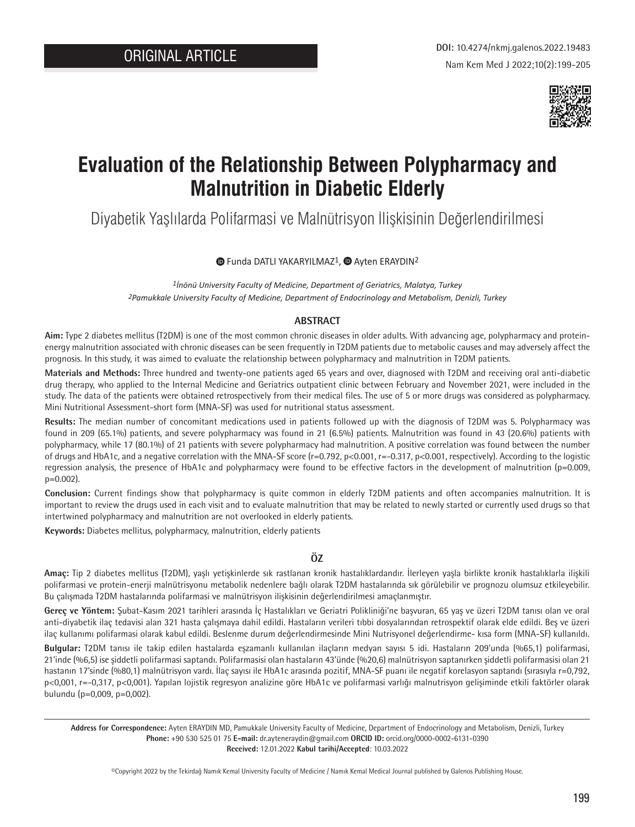

# **Evaluation of the Relationship Between Polypharmacy and Malnutrition in Diabetic Elderly**

Diyabetik Yaşlılarda Polifarmasi ve Malnütrisyon İlişkisinin Değerlendirilmesi

**TheFunda DATLI YAKARYILMAZ<sup>1</sup>, a Ayten ERAYDIN<sup>2</sup>** 

*1İnönü University Faculty of Medicine, Department of Geriatrics, Malatya, Turkey 2Pamukkale University Faculty of Medicine, Department of Endocrinology and Metabolism, Denizli, Turkey*

#### **ARSTRACT**

**Aim:** Type 2 diabetes mellitus (T2DM) is one of the most common chronic diseases in older adults. With advancing age, polypharmacy and proteinenergy malnutrition associated with chronic diseases can be seen frequently in T2DM patients due to metabolic causes and may adversely affect the prognosis. In this study, it was aimed to evaluate the relationship between polypharmacy and malnutrition in T2DM patients.

**Materials and Methods:** Three hundred and twenty-one patients aged 65 years and over, diagnosed with T2DM and receiving oral anti-diabetic drug therapy, who applied to the Internal Medicine and Geriatrics outpatient clinic between February and November 2021, were included in the study. The data of the patients were obtained retrospectively from their medical files. The use of 5 or more drugs was considered as polypharmacy. Mini Nutritional Assessment-short form (MNA-SF) was used for nutritional status assessment.

**Results:** The median number of concomitant medications used in patients followed up with the diagnosis of T2DM was 5. Polypharmacy was found in 209 (65.1%) patients, and severe polypharmacy was found in 21 (6.5%) patients. Malnutrition was found in 43 (20.6%) patients with polypharmacy, while 17 (80.1%) of 21 patients with severe polypharmacy had malnutrition. A positive correlation was found between the number of drugs and HbA1c, and a negative correlation with the MNA-SF score (r=0.792, p<0.001, r=-0.317, p<0.001, respectively). According to the logistic regression analysis, the presence of HbA1c and polypharmacy were found to be effective factors in the development of malnutrition (p=0.009, p=0.002).

**Conclusion:** Current findings show that polypharmacy is quite common in elderly T2DM patients and often accompanies malnutrition. It is important to review the drugs used in each visit and to evaluate malnutrition that may be related to newly started or currently used drugs so that intertwined polypharmacy and malnutrition are not overlooked in elderly patients.

**Keywords:** Diabetes mellitus, polypharmacy, malnutrition, elderly patients

## **ÖZ**

**Amaç:** Tip 2 diabetes mellitus (T2DM), yaşlı yetişkinlerde sık rastlanan kronik hastalıklardandır. İlerleyen yaşla birlikte kronik hastalıklarla ilişkili polifarmasi ve protein-enerji malnütrisyonu metabolik nedenlere bağlı olarak T2DM hastalarında sık görülebilir ve prognozu olumsuz etkileyebilir. Bu çalışmada T2DM hastalarında polifarmasi ve malnütrisyon ilişkisinin değerlendirilmesi amaçlanmıştır.

**Gereç ve Yöntem:** Şubat-Kasım 2021 tarihleri arasında İç Hastalıkları ve Geriatri Polikliniği'ne başvuran, 65 yaş ve üzeri T2DM tanısı olan ve oral anti-diyabetik ilaç tedavisi alan 321 hasta çalışmaya dahil edildi. Hastaların verileri tıbbi dosyalarından retrospektif olarak elde edildi. Beş ve üzeri ilaç kullanımı polifarmasi olarak kabul edildi. Beslenme durum değerlendirmesinde Mini Nutrisyonel değerlendirme- kısa form (MNA-SF) kullanıldı.

**Bulgular:** T2DM tanısı ile takip edilen hastalarda eşzamanlı kullanılan ilaçların medyan sayısı 5 idi. Hastaların 209'unda (%65,1) polifarmasi, 21'inde (%6,5) ise şiddetli polifarmasi saptandı. Polifarmasisi olan hastaların 43'ünde (%20,6) malnütrisyon saptanırken şiddetli polifarmasisi olan 21 hastanın 17'sinde (%80,1) malnütrisyon vardı. İlaç sayısı ile HbA1c arasında pozitif, MNA-SF puanı ile negatif korelasyon saptandı (sırasıyla r=0,792, p<0,001, r=-0,317, p<0,001). Yapılan lojistik regresyon analizine göre HbA1c ve polifarmasi varlığı malnutrisyon gelişiminde etkili faktörler olarak bulundu (p=0,009, p=0,002).

**Address for Correspondence:** Ayten ERAYDIN MD, Pamukkale University Faculty of Medicine, Department of Endocrinology and Metabolism, Denizli, Turkey **Phone:** +90 530 525 01 75 **E-mail:** dr.ayteneraydin@gmail.com **ORCID ID:** orcid.org/0000-0002-6131-0390 **Received:** 12.01.2022 **Kabul tarihi/Accepted**: 10.03.2022

©Copyright 2022 by the Tekirdağ Namık Kemal University Faculty of Medicine / Namık Kemal Medical Journal published by Galenos Publishing House.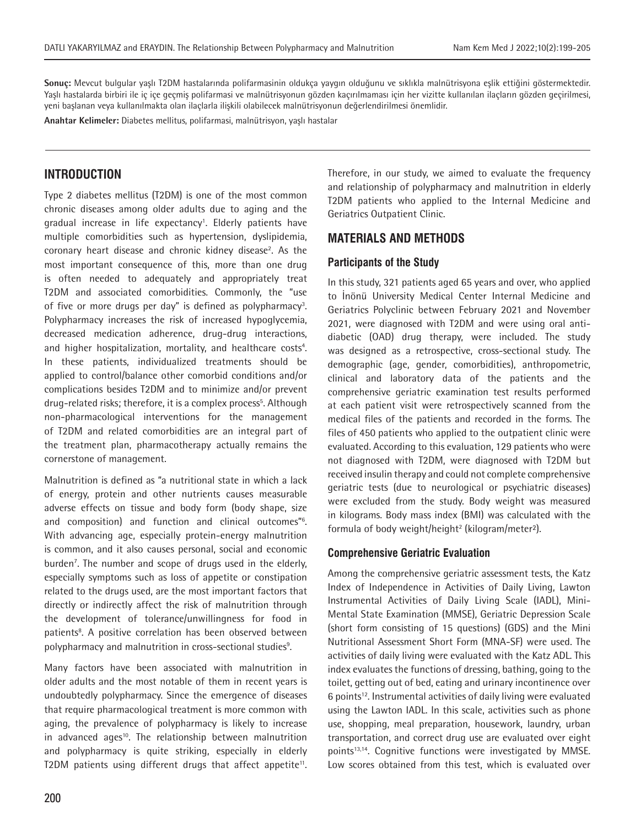**Sonuç:** Mevcut bulgular yaşlı T2DM hastalarında polifarmasinin oldukça yaygın olduğunu ve sıklıkla malnütrisyona eşlik ettiğini göstermektedir. Yaşlı hastalarda birbiri ile iç içe geçmiş polifarmasi ve malnütrisyonun gözden kaçırılmaması için her vizitte kullanılan ilaçların gözden geçirilmesi, yeni başlanan veya kullanılmakta olan ilaçlarla ilişkili olabilecek malnütrisyonun değerlendirilmesi önemlidir.

**Anahtar Kelimeler:** Diabetes mellitus, polifarmasi, malnütrisyon, yaşlı hastalar

# **INTRODUCTION**

Type 2 diabetes mellitus (T2DM) is one of the most common chronic diseases among older adults due to aging and the gradual increase in life expectancy<sup>1</sup>. Elderly patients have multiple comorbidities such as hypertension, dyslipidemia, coronary heart disease and chronic kidney disease<sup>2</sup>. As the most important consequence of this, more than one drug is often needed to adequately and appropriately treat T2DM and associated comorbidities. Commonly, the "use of five or more drugs per day" is defined as polypharmacy<sup>3</sup>. Polypharmacy increases the risk of increased hypoglycemia, decreased medication adherence, drug-drug interactions, and higher hospitalization, mortality, and healthcare costs<sup>4</sup>. In these patients, individualized treatments should be applied to control/balance other comorbid conditions and/or complications besides T2DM and to minimize and/or prevent drug-related risks; therefore, it is a complex process<sup>5</sup>. Although non-pharmacological interventions for the management of T2DM and related comorbidities are an integral part of the treatment plan, pharmacotherapy actually remains the cornerstone of management.

Malnutrition is defined as "a nutritional state in which a lack of energy, protein and other nutrients causes measurable adverse effects on tissue and body form (body shape, size and composition) and function and clinical outcomes"6 . With advancing age, especially protein-energy malnutrition is common, and it also causes personal, social and economic burden<sup>7</sup>. The number and scope of drugs used in the elderly, especially symptoms such as loss of appetite or constipation related to the drugs used, are the most important factors that directly or indirectly affect the risk of malnutrition through the development of tolerance/unwillingness for food in patients<sup>8</sup>. A positive correlation has been observed between polypharmacy and malnutrition in cross-sectional studies<sup>9</sup>.

Many factors have been associated with malnutrition in older adults and the most notable of them in recent years is undoubtedly polypharmacy. Since the emergence of diseases that require pharmacological treatment is more common with aging, the prevalence of polypharmacy is likely to increase in advanced ages<sup>10</sup>. The relationship between malnutrition and polypharmacy is quite striking, especially in elderly T2DM patients using different drugs that affect appetite<sup>11</sup>. Therefore, in our study, we aimed to evaluate the frequency and relationship of polypharmacy and malnutrition in elderly T2DM patients who applied to the Internal Medicine and Geriatrics Outpatient Clinic.

# **MATERIALS AND METHODS**

## **Participants of the Study**

In this study, 321 patients aged 65 years and over, who applied to İnönü University Medical Center Internal Medicine and Geriatrics Polyclinic between February 2021 and November 2021, were diagnosed with T2DM and were using oral antidiabetic (OAD) drug therapy, were included. The study was designed as a retrospective, cross-sectional study. The demographic (age, gender, comorbidities), anthropometric, clinical and laboratory data of the patients and the comprehensive geriatric examination test results performed at each patient visit were retrospectively scanned from the medical files of the patients and recorded in the forms. The files of 450 patients who applied to the outpatient clinic were evaluated. According to this evaluation, 129 patients who were not diagnosed with T2DM, were diagnosed with T2DM but received insulin therapy and could not complete comprehensive geriatric tests (due to neurological or psychiatric diseases) were excluded from the study. Body weight was measured in kilograms. Body mass index (BMI) was calculated with the formula of body weight/height<sup>2</sup> (kilogram/meter<sup>2</sup>).

## **Comprehensive Geriatric Evaluation**

Among the comprehensive geriatric assessment tests, the Katz Index of Independence in Activities of Daily Living, Lawton Instrumental Activities of Daily Living Scale (IADL), Mini-Mental State Examination (MMSE), Geriatric Depression Scale (short form consisting of 15 questions) (GDS) and the Mini Nutritional Assessment Short Form (MNA-SF) were used. The activities of daily living were evaluated with the Katz ADL. This index evaluates the functions of dressing, bathing, going to the toilet, getting out of bed, eating and urinary incontinence over 6 points<sup>12</sup>. Instrumental activities of daily living were evaluated using the Lawton IADL. In this scale, activities such as phone use, shopping, meal preparation, housework, laundry, urban transportation, and correct drug use are evaluated over eight points<sup>13,14</sup>. Cognitive functions were investigated by MMSE. Low scores obtained from this test, which is evaluated over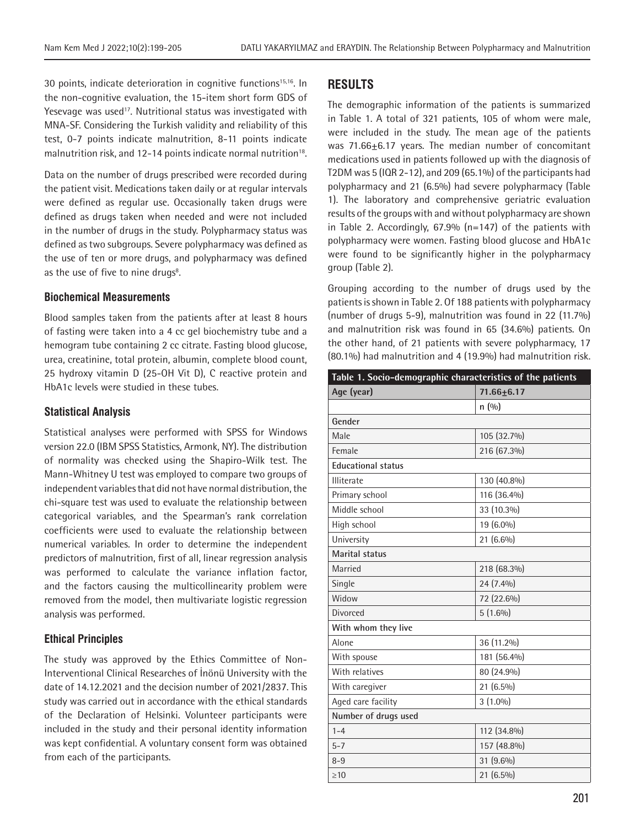30 points, indicate deterioration in cognitive functions<sup>15,16</sup>. In the non-cognitive evaluation, the 15-item short form GDS of Yesevage was used<sup>17</sup>. Nutritional status was investigated with MNA-SF. Considering the Turkish validity and reliability of this test, 0-7 points indicate malnutrition, 8-11 points indicate malnutrition risk, and 12-14 points indicate normal nutrition<sup>18</sup>.

Data on the number of drugs prescribed were recorded during the patient visit. Medications taken daily or at regular intervals were defined as regular use. Occasionally taken drugs were defined as drugs taken when needed and were not included in the number of drugs in the study. Polypharmacy status was defined as two subgroups. Severe polypharmacy was defined as the use of ten or more drugs, and polypharmacy was defined as the use of five to nine drugs<sup>8</sup>.

#### **Biochemical Measurements**

Blood samples taken from the patients after at least 8 hours of fasting were taken into a 4 cc gel biochemistry tube and a hemogram tube containing 2 cc citrate. Fasting blood glucose, urea, creatinine, total protein, albumin, complete blood count, 25 hydroxy vitamin D (25-OH Vit D), C reactive protein and HbA1c levels were studied in these tubes.

#### **Statistical Analysis**

Statistical analyses were performed with SPSS for Windows version 22.0 (IBM SPSS Statistics, Armonk, NY). The distribution of normality was checked using the Shapiro-Wilk test. The Mann-Whitney U test was employed to compare two groups of independent variables that did not have normal distribution, the chi-square test was used to evaluate the relationship between categorical variables, and the Spearman's rank correlation coefficients were used to evaluate the relationship between numerical variables. In order to determine the independent predictors of malnutrition, first of all, linear regression analysis was performed to calculate the variance inflation factor, and the factors causing the multicollinearity problem were removed from the model, then multivariate logistic regression analysis was performed.

#### **Ethical Principles**

The study was approved by the Ethics Committee of Non-Interventional Clinical Researches of İnönü University with the date of 14.12.2021 and the decision number of 2021/2837. This study was carried out in accordance with the ethical standards of the Declaration of Helsinki. Volunteer participants were included in the study and their personal identity information was kept confidential. A voluntary consent form was obtained from each of the participants.

# **RESULTS**

The demographic information of the patients is summarized in Table 1. A total of 321 patients, 105 of whom were male, were included in the study. The mean age of the patients was 71.66+6.17 years. The median number of concomitant medications used in patients followed up with the diagnosis of T2DM was 5 (IQR 2-12), and 209 (65.1%) of the participants had polypharmacy and 21 (6.5%) had severe polypharmacy (Table 1). The laboratory and comprehensive geriatric evaluation results of the groups with and without polypharmacy are shown in Table 2. Accordingly, 67.9% (n=147) of the patients with polypharmacy were women. Fasting blood glucose and HbA1c were found to be significantly higher in the polypharmacy group (Table 2).

Grouping according to the number of drugs used by the patients is shown in Table 2. Of 188 patients with polypharmacy (number of drugs 5-9), malnutrition was found in 22 (11.7%) and malnutrition risk was found in 65 (34.6%) patients. On the other hand, of 21 patients with severe polypharmacy, 17 (80.1%) had malnutrition and 4 (19.9%) had malnutrition risk.

| Table 1. Socio-demographic characteristics of the patients |                  |  |  |
|------------------------------------------------------------|------------------|--|--|
| Age (year)                                                 | $71.66 \pm 6.17$ |  |  |
|                                                            | n(90)            |  |  |
| Gender                                                     |                  |  |  |
| Male                                                       | 105 (32.7%)      |  |  |
| Female                                                     | 216 (67.3%)      |  |  |
| <b>Educational status</b>                                  |                  |  |  |
| Illiterate                                                 | 130 (40.8%)      |  |  |
| Primary school                                             | 116 (36.4%)      |  |  |
| Middle school                                              | 33 (10.3%)       |  |  |
| High school                                                | 19 (6.0%)        |  |  |
| University                                                 | 21 (6.6%)        |  |  |
| Marital status                                             |                  |  |  |
| Married                                                    | 218 (68.3%)      |  |  |
| Single                                                     | 24 (7.4%)        |  |  |
| Widow                                                      | 72 (22.6%)       |  |  |
| <b>Divorced</b>                                            | $5(1.6\%)$       |  |  |
| With whom they live                                        |                  |  |  |
| Alone                                                      | 36 (11.2%)       |  |  |
| With spouse                                                | 181 (56.4%)      |  |  |
| With relatives                                             | 80 (24.9%)       |  |  |
| With caregiver                                             | 21 (6.5%)        |  |  |
| Aged care facility                                         | $3(1.0\%)$       |  |  |
| Number of drugs used                                       |                  |  |  |
| $1 - 4$                                                    | 112 (34.8%)      |  |  |
| $5 - 7$                                                    | 157 (48.8%)      |  |  |
| $8 - 9$                                                    | 31 (9.6%)        |  |  |
| $\geq 10$                                                  | 21 (6.5%)        |  |  |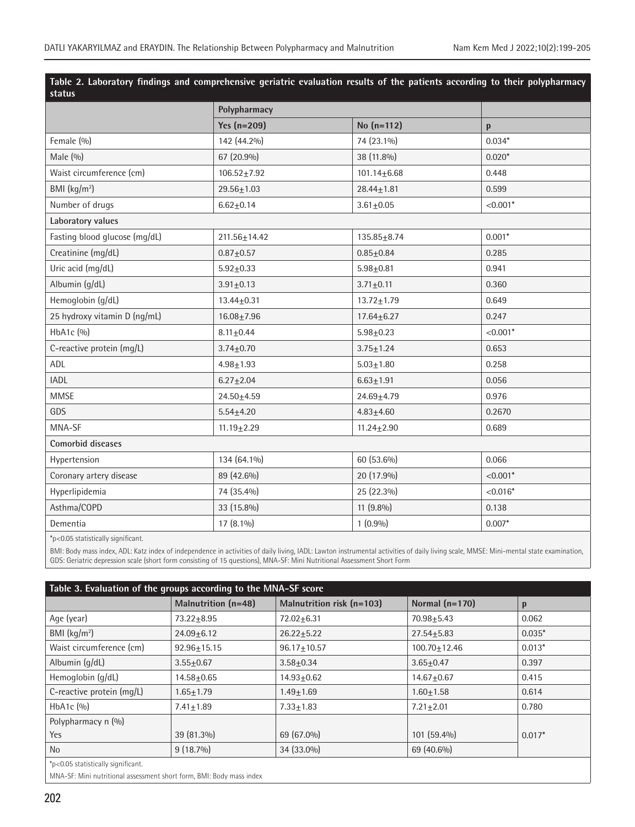| Table 2. Laboratory findings and comprenensive geriatric evaluation results of the patients according to their polypharmacy<br>status |                    |                   |            |  |  |
|---------------------------------------------------------------------------------------------------------------------------------------|--------------------|-------------------|------------|--|--|
|                                                                                                                                       | Polypharmacy       |                   |            |  |  |
|                                                                                                                                       | Yes $(n=209)$      | $No (n=112)$      | p          |  |  |
| Female (%)                                                                                                                            | 142 (44.2%)        | 74 (23.1%)        | $0.034*$   |  |  |
| Male $(9/0)$                                                                                                                          | 67 (20.9%)         | 38 (11.8%)        | $0.020*$   |  |  |
| Waist circumference (cm)                                                                                                              | $106.52 + 7.92$    | $101.14 \pm 6.68$ | 0.448      |  |  |
| BMI $(kq/m2)$                                                                                                                         | $29.56 \pm 1.03$   | $28.44 \pm 1.81$  | 0.599      |  |  |
| Number of drugs                                                                                                                       | $6.62 \pm 0.14$    | $3.61 \pm 0.05$   | $< 0.001*$ |  |  |
| Laboratory values                                                                                                                     |                    |                   |            |  |  |
| Fasting blood glucose (mg/dL)                                                                                                         | $211.56 \pm 14.42$ | $135.85 \pm 8.74$ | $0.001*$   |  |  |
| Creatinine (mg/dL)                                                                                                                    | $0.87 + 0.57$      | $0.85 + 0.84$     | 0.285      |  |  |
| Uric acid (mg/dL)                                                                                                                     | $5.92 \pm 0.33$    | $5.98 + 0.81$     | 0.941      |  |  |
| Albumin (g/dL)                                                                                                                        | $3.91 \pm 0.13$    | $3.71 \pm 0.11$   | 0.360      |  |  |
| Hemoglobin (g/dL)                                                                                                                     | $13.44 \pm 0.31$   | $13.72 \pm 1.79$  | 0.649      |  |  |
| 25 hydroxy vitamin D (ng/mL)                                                                                                          | $16.08 + 7.96$     | $17.64 \pm 6.27$  | 0.247      |  |  |
| HbA1c (%)                                                                                                                             | $8.11 \pm 0.44$    | $5.98 + 0.23$     | $< 0.001*$ |  |  |
| C-reactive protein (mg/L)                                                                                                             | $3.74 \pm 0.70$    | $3.75 \pm 1.24$   | 0.653      |  |  |
| ADL                                                                                                                                   | $4.98 + 1.93$      | $5.03 \pm 1.80$   | 0.258      |  |  |
| <b>IADL</b>                                                                                                                           | $6.27 \pm 2.04$    | $6.63 + 1.91$     | 0.056      |  |  |
| <b>MMSE</b>                                                                                                                           | $24.50 + 4.59$     | $24.69 + 4.79$    | 0.976      |  |  |
| GDS                                                                                                                                   | $5.54 \pm 4.20$    | $4.83 + 4.60$     | 0.2670     |  |  |
| MNA-SF                                                                                                                                | $11.19 \pm 2.29$   | $11.24 \pm 2.90$  | 0.689      |  |  |
| Comorbid diseases                                                                                                                     |                    |                   |            |  |  |
| Hypertension                                                                                                                          | 134 (64.1%)        | 60 (53.6%)        | 0.066      |  |  |
| Coronary artery disease                                                                                                               | 89 (42.6%)         | 20 (17.9%)        | $< 0.001*$ |  |  |
| Hyperlipidemia                                                                                                                        | 74 (35.4%)         | 25 (22.3%)        | $< 0.016*$ |  |  |
| Asthma/COPD                                                                                                                           | 33 (15.8%)         | 11 (9.8%)         | 0.138      |  |  |
| Dementia                                                                                                                              | 17 (8.1%)          | $1(0.9\%)$        | $0.007*$   |  |  |

**Table 2. Laboratory findings and comprehensive geriatric evaluation results of the patients according to their polypharmacy** 

\*p<0.05 statistically significant.

BMI: Body mass index, ADL: Katz index of independence in activities of daily living, IADL: Lawton instrumental activities of daily living scale, MMSE: Mini-mental state examination, GDS: Geriatric depression scale (short form consisting of 15 questions), MNA-SF: Mini Nutritional Assessment Short Form

| Table 3. Evaluation of the groups according to the MNA-SF score |                     |                             |                  |          |  |
|-----------------------------------------------------------------|---------------------|-----------------------------|------------------|----------|--|
|                                                                 | Malnutrition (n=48) | Malnutrition risk $(n=103)$ | Normal $(n=170)$ | p        |  |
| Age (year)                                                      | $73.22 + 8.95$      | $72.02 + 6.31$              | $70.98 + 5.43$   | 0.062    |  |
| BMI $(kq/m2)$                                                   | $24.09 + 6.12$      | $26.22 + 5.22$              | $27.54 + 5.83$   | $0.035*$ |  |
| Waist circumference (cm)                                        | $92.96 + 15.15$     | $96.17 + 10.57$             | $100.70 + 12.46$ | $0.013*$ |  |
| Albumin (g/dL)                                                  | $3.55 + 0.67$       | $3.58 + 0.34$               | $3.65 + 0.47$    | 0.397    |  |
| Hemoglobin (g/dL)                                               | $14.58 + 0.65$      | $14.93 + 0.62$              | $14.67 + 0.67$   | 0.415    |  |
| C-reactive protein (mg/L)                                       | $1.65 + 1.79$       | $1.49 + 1.69$               | $1.60 + 1.58$    | 0.614    |  |
| HbA <sub>1</sub> c $($ %)                                       | $7.41 + 1.89$       | $7.33 + 1.83$               | $7.21 + 2.01$    | 0.780    |  |
| Polypharmacy n (%)                                              |                     |                             |                  |          |  |
| <b>Yes</b>                                                      | 39 (81.3%)          | 69 (67.0%)                  | $101(59.4\%)$    | $0.017*$ |  |
| N <sub>o</sub>                                                  | $9(18.7\%)$         | 34 (33.0%)                  | 69 (40.6%)       |          |  |
| *p<0.05 statistically significant.                              |                     |                             |                  |          |  |

MNA-SF: Mini nutritional assessment short form, BMI: Body mass index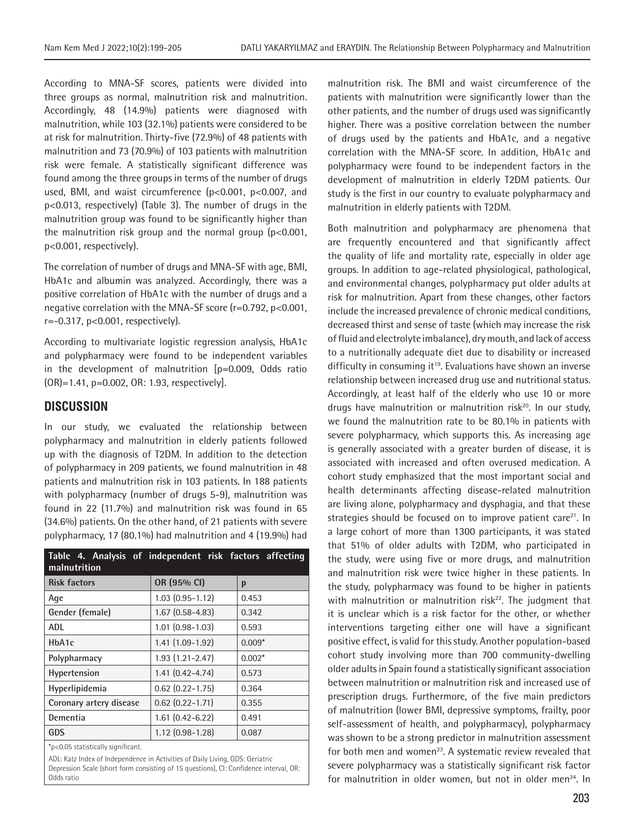According to MNA-SF scores, patients were divided into three groups as normal, malnutrition risk and malnutrition. Accordingly, 48 (14.9%) patients were diagnosed with malnutrition, while 103 (32.1%) patients were considered to be at risk for malnutrition. Thirty-five (72.9%) of 48 patients with malnutrition and 73 (70.9%) of 103 patients with malnutrition risk were female. A statistically significant difference was found among the three groups in terms of the number of drugs used, BMI, and waist circumference (p<0.001, p<0.007, and p<0.013, respectively) (Table 3). The number of drugs in the malnutrition group was found to be significantly higher than the malnutrition risk group and the normal group (p<0.001, p<0.001, respectively).

The correlation of number of drugs and MNA-SF with age, BMI, HbA1c and albumin was analyzed. Accordingly, there was a positive correlation of HbA1c with the number of drugs and a negative correlation with the MNA-SF score (r=0.792, p<0.001, r=-0.317, p<0.001, respectively).

According to multivariate logistic regression analysis, HbA1c and polypharmacy were found to be independent variables in the development of malnutrition [p=0.009, Odds ratio (OR)=1.41, p=0.002, OR: 1.93, respectively].

# **DISCUSSION**

In our study, we evaluated the relationship between polypharmacy and malnutrition in elderly patients followed up with the diagnosis of T2DM. In addition to the detection of polypharmacy in 209 patients, we found malnutrition in 48 patients and malnutrition risk in 103 patients. In 188 patients with polypharmacy (number of drugs 5-9), malnutrition was found in 22 (11.7%) and malnutrition risk was found in 65 (34.6%) patients. On the other hand, of 21 patients with severe polypharmacy, 17 (80.1%) had malnutrition and 4 (19.9%) had

| Table 4. Analysis of independent risk factors affecting<br>malnutrition |                        |          |
|-------------------------------------------------------------------------|------------------------|----------|
| <b>Risk factors</b>                                                     | OR (95% CI)            | p        |
| Age                                                                     | $1.03(0.95 - 1.12)$    | 0.453    |
| Gender (female)                                                         | $1.67(0.58 - 4.83)$    | 0.342    |
| <b>ADL</b>                                                              | $1.01$ $(0.98 - 1.03)$ | 0.593    |
| HbA1c                                                                   | 1.41 (1.09-1.92)       | $0.009*$ |
| Polypharmacy                                                            | $1.93(1.21 - 2.47)$    | $0.002*$ |
| <b>Hypertension</b>                                                     | $1.41(0.42 - 4.74)$    | 0.573    |
| Hyperlipidemia                                                          | $0.62$ $(0.22 - 1.75)$ | 0.364    |
| Coronary artery disease                                                 | $0.62$ $(0.22 - 1.71)$ | 0.355    |
| Dementia                                                                | $1.61(0.42 - 6.22)$    | 0.491    |
| GDS                                                                     | $1.12(0.98-1.28)$      | 0.087    |

\*p<0.05 statistically significant.

ADL: Katz Index of Independence in Activities of Daily Living, GDS: Geriatric Depression Scale (short form consisting of 15 questions), CI: Confidence interval, OR: Odds ratio

malnutrition risk. The BMI and waist circumference of the patients with malnutrition were significantly lower than the other patients, and the number of drugs used was significantly higher. There was a positive correlation between the number of drugs used by the patients and HbA1c, and a negative correlation with the MNA-SF score. In addition, HbA1c and polypharmacy were found to be independent factors in the development of malnutrition in elderly T2DM patients. Our study is the first in our country to evaluate polypharmacy and malnutrition in elderly patients with T2DM.

Both malnutrition and polypharmacy are phenomena that are frequently encountered and that significantly affect the quality of life and mortality rate, especially in older age groups. In addition to age-related physiological, pathological, and environmental changes, polypharmacy put older adults at risk for malnutrition. Apart from these changes, other factors include the increased prevalence of chronic medical conditions, decreased thirst and sense of taste (which may increase the risk of fluid and electrolyte imbalance), dry mouth, and lack of access to a nutritionally adequate diet due to disability or increased difficulty in consuming it<sup>19</sup>. Evaluations have shown an inverse relationship between increased drug use and nutritional status. Accordingly, at least half of the elderly who use 10 or more drugs have malnutrition or malnutrition risk<sup>20</sup>. In our study, we found the malnutrition rate to be 80.1% in patients with severe polypharmacy, which supports this. As increasing age is generally associated with a greater burden of disease, it is associated with increased and often overused medication. A cohort study emphasized that the most important social and health determinants affecting disease-related malnutrition are living alone, polypharmacy and dysphagia, and that these strategies should be focused on to improve patient care<sup>21</sup>. In a large cohort of more than 1300 participants, it was stated that 51% of older adults with T2DM, who participated in the study, were using five or more drugs, and malnutrition and malnutrition risk were twice higher in these patients. In the study, polypharmacy was found to be higher in patients with malnutrition or malnutrition risk<sup>22</sup>. The judgment that it is unclear which is a risk factor for the other, or whether interventions targeting either one will have a significant positive effect, is valid for this study. Another population-based cohort study involving more than 700 community-dwelling older adults in Spain found a statistically significant association between malnutrition or malnutrition risk and increased use of prescription drugs. Furthermore, of the five main predictors of malnutrition (lower BMI, depressive symptoms, frailty, poor self-assessment of health, and polypharmacy), polypharmacy was shown to be a strong predictor in malnutrition assessment for both men and women<sup>23</sup>. A systematic review revealed that severe polypharmacy was a statistically significant risk factor for malnutrition in older women, but not in older men<sup>24</sup>. In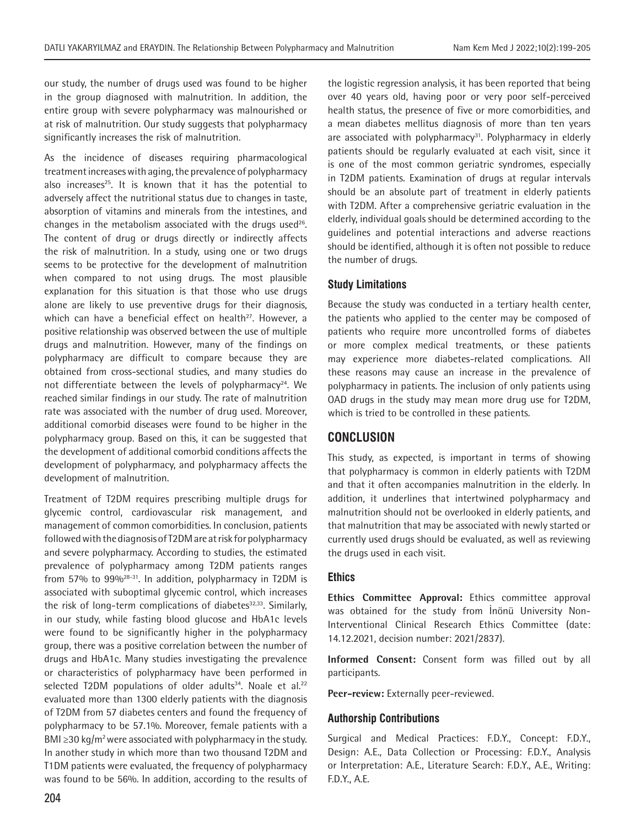our study, the number of drugs used was found to be higher in the group diagnosed with malnutrition. In addition, the entire group with severe polypharmacy was malnourished or at risk of malnutrition. Our study suggests that polypharmacy significantly increases the risk of malnutrition.

As the incidence of diseases requiring pharmacological treatment increases with aging, the prevalence of polypharmacy also increases $25$ . It is known that it has the potential to adversely affect the nutritional status due to changes in taste, absorption of vitamins and minerals from the intestines, and changes in the metabolism associated with the drugs used<sup>26</sup>. The content of drug or drugs directly or indirectly affects the risk of malnutrition. In a study, using one or two drugs seems to be protective for the development of malnutrition when compared to not using drugs. The most plausible explanation for this situation is that those who use drugs alone are likely to use preventive drugs for their diagnosis, which can have a beneficial effect on health<sup>27</sup>. However, a positive relationship was observed between the use of multiple drugs and malnutrition. However, many of the findings on polypharmacy are difficult to compare because they are obtained from cross-sectional studies, and many studies do not differentiate between the levels of polypharmacy<sup>24</sup>. We reached similar findings in our study. The rate of malnutrition rate was associated with the number of drug used. Moreover, additional comorbid diseases were found to be higher in the polypharmacy group. Based on this, it can be suggested that the development of additional comorbid conditions affects the development of polypharmacy, and polypharmacy affects the development of malnutrition.

Treatment of T2DM requires prescribing multiple drugs for glycemic control, cardiovascular risk management, and management of common comorbidities. In conclusion, patients followed with the diagnosis of T2DM are at risk for polypharmacy and severe polypharmacy. According to studies, the estimated prevalence of polypharmacy among T2DM patients ranges from 57% to  $99\%^{28-31}$ . In addition, polypharmacy in T2DM is associated with suboptimal glycemic control, which increases the risk of long-term complications of diabetes $32,33$ . Similarly, in our study, while fasting blood glucose and HbA1c levels were found to be significantly higher in the polypharmacy group, there was a positive correlation between the number of drugs and HbA1c. Many studies investigating the prevalence or characteristics of polypharmacy have been performed in selected T2DM populations of older adults<sup>34</sup>. Noale et al.<sup>22</sup> evaluated more than 1300 elderly patients with the diagnosis of T2DM from 57 diabetes centers and found the frequency of polypharmacy to be 57.1%. Moreover, female patients with a BMI  $\geq$ 30 kg/m<sup>2</sup> were associated with polypharmacy in the study. In another study in which more than two thousand T2DM and T1DM patients were evaluated, the frequency of polypharmacy was found to be 56%. In addition, according to the results of the logistic regression analysis, it has been reported that being over 40 years old, having poor or very poor self-perceived health status, the presence of five or more comorbidities, and a mean diabetes mellitus diagnosis of more than ten years are associated with polypharmacy $31$ . Polypharmacy in elderly patients should be regularly evaluated at each visit, since it is one of the most common geriatric syndromes, especially in T2DM patients. Examination of drugs at regular intervals should be an absolute part of treatment in elderly patients with T2DM. After a comprehensive geriatric evaluation in the elderly, individual goals should be determined according to the guidelines and potential interactions and adverse reactions should be identified, although it is often not possible to reduce the number of drugs.

# **Study Limitations**

Because the study was conducted in a tertiary health center, the patients who applied to the center may be composed of patients who require more uncontrolled forms of diabetes or more complex medical treatments, or these patients may experience more diabetes-related complications. All these reasons may cause an increase in the prevalence of polypharmacy in patients. The inclusion of only patients using OAD drugs in the study may mean more drug use for T2DM, which is tried to be controlled in these patients.

# **CONCLUSION**

This study, as expected, is important in terms of showing that polypharmacy is common in elderly patients with T2DM and that it often accompanies malnutrition in the elderly. In addition, it underlines that intertwined polypharmacy and malnutrition should not be overlooked in elderly patients, and that malnutrition that may be associated with newly started or currently used drugs should be evaluated, as well as reviewing the drugs used in each visit.

## **Ethics**

**Ethics Committee Approval:** Ethics committee approval was obtained for the study from İnönü University Non-Interventional Clinical Research Ethics Committee (date: 14.12.2021, decision number: 2021/2837).

**Informed Consent:** Consent form was filled out by all participants.

**Peer-review:** Externally peer-reviewed.

## **Authorship Contributions**

Surgical and Medical Practices: F.D.Y., Concept: F.D.Y., Design: A.E., Data Collection or Processing: F.D.Y., Analysis or Interpretation: A.E., Literature Search: F.D.Y., A.E., Writing: F.D.Y., A.E.